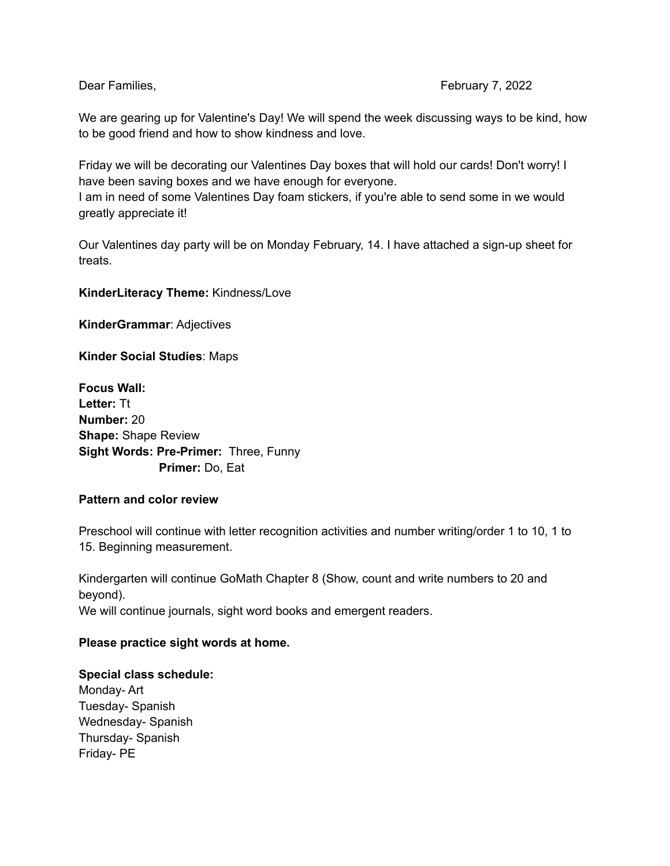We are gearing up for Valentine's Day! We will spend the week discussing ways to be kind, how to be good friend and how to show kindness and love.

Friday we will be decorating our Valentines Day boxes that will hold our cards! Don't worry! I have been saving boxes and we have enough for everyone.

I am in need of some Valentines Day foam stickers, if you're able to send some in we would greatly appreciate it!

Our Valentines day party will be on Monday February, 14. I have attached a sign-up sheet for treats.

**KinderLiteracy Theme:** Kindness/Love

**KinderGrammar**: Adjectives

**Kinder Social Studies**: Maps

**Focus Wall: Letter:** Tt **Number:** 20 **Shape:** Shape Review **Sight Words: Pre-Primer:** Three, Funny **Primer:** Do, Eat

## **Pattern and color review**

Preschool will continue with letter recognition activities and number writing/order 1 to 10, 1 to 15. Beginning measurement.

Kindergarten will continue GoMath Chapter 8 (Show, count and write numbers to 20 and beyond). We will continue journals, sight word books and emergent readers.

## **Please practice sight words at home.**

## **Special class schedule:**

Monday- Art Tuesday- Spanish Wednesday- Spanish Thursday- Spanish Friday- PE